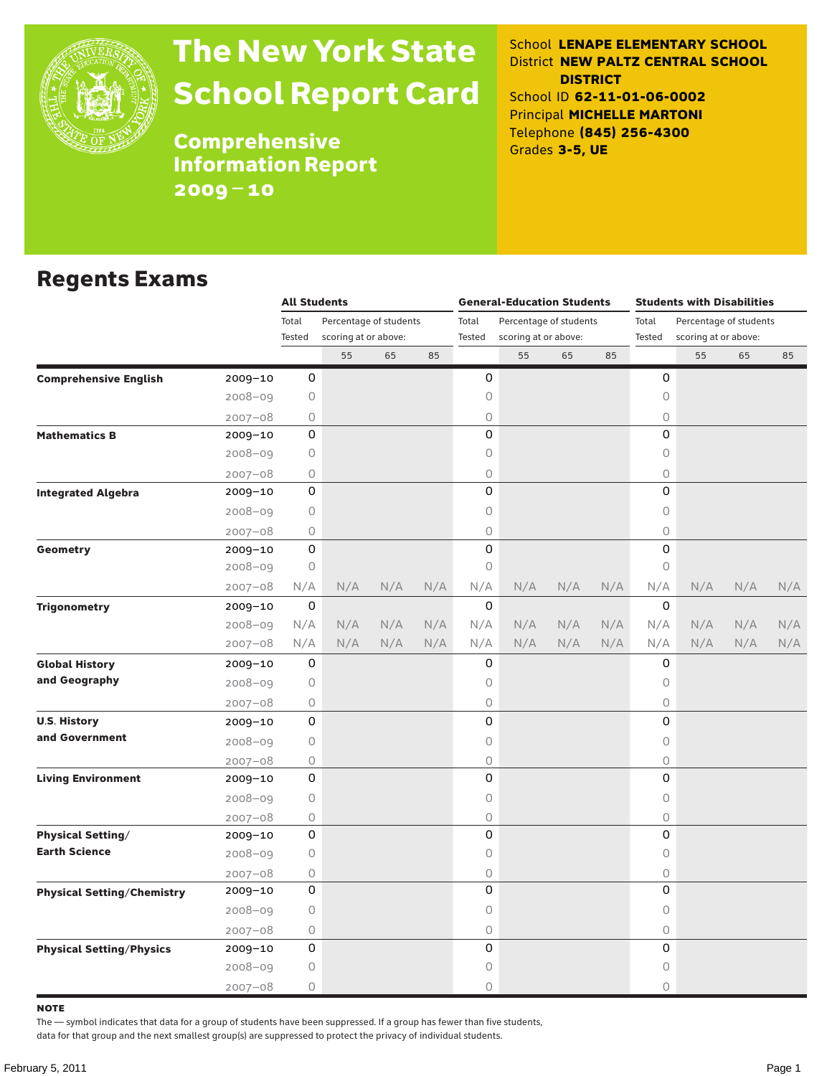

# The New York State School Report Card

School **LENAPE ELEMENTARY SCHOOL** District **NEW PALTZ CENTRAL SCHOOL DISTRICT** School ID **62-11-01-06-0002** Principal **MICHELLE MARTONI** Telephone **(845) 256-4300** Grades **3-5, UE**

Comprehensive Information Report 2009–10

### Regents Exams

|                                   |             | <b>All Students</b> |                        |     |     |        | <b>General-Education Students</b> |     |     | <b>Students with Disabilities</b> |                        |     |     |  |  |
|-----------------------------------|-------------|---------------------|------------------------|-----|-----|--------|-----------------------------------|-----|-----|-----------------------------------|------------------------|-----|-----|--|--|
|                                   |             | Total               | Percentage of students |     |     | Total  | Percentage of students            |     |     | Total                             | Percentage of students |     |     |  |  |
|                                   |             | Tested              | scoring at or above:   |     |     | Tested | scoring at or above:              |     |     | Tested                            | scoring at or above:   |     |     |  |  |
|                                   |             |                     | 55                     | 65  | 85  |        | 55                                | 65  | 85  |                                   | 55                     | 65  | 85  |  |  |
| <b>Comprehensive English</b>      | 2009-10     | 0                   |                        |     |     | 0      |                                   |     |     | 0                                 |                        |     |     |  |  |
|                                   | $2008 - 09$ | 0                   |                        |     |     | 0      |                                   |     |     | 0                                 |                        |     |     |  |  |
|                                   | $2007 - 08$ | 0                   |                        |     |     | 0      |                                   |     |     | $\bigcirc$                        |                        |     |     |  |  |
| <b>Mathematics B</b>              | $2009 - 10$ | 0                   |                        |     |     | 0      |                                   |     |     | 0                                 |                        |     |     |  |  |
|                                   | 2008-09     | 0                   |                        |     |     | 0      |                                   |     |     | 0                                 |                        |     |     |  |  |
|                                   | $2007 - 08$ | 0                   |                        |     |     | 0      |                                   |     |     | $\bigcirc$                        |                        |     |     |  |  |
| <b>Integrated Algebra</b>         | $2009 - 10$ | 0                   |                        |     |     | 0      |                                   |     |     | 0                                 |                        |     |     |  |  |
|                                   | 2008-09     | 0                   |                        |     |     | 0      |                                   |     |     | 0                                 |                        |     |     |  |  |
|                                   | $2007 - 08$ | 0                   |                        |     |     | 0      |                                   |     |     | 0                                 |                        |     |     |  |  |
| Geometry                          | 2009-10     | 0                   |                        |     |     | 0      |                                   |     |     | 0                                 |                        |     |     |  |  |
|                                   | $2008 - 09$ | 0                   |                        |     |     | 0      |                                   |     |     | $\bigcirc$                        |                        |     |     |  |  |
|                                   | $2007 - 08$ | N/A                 | N/A                    | N/A | N/A | N/A    | N/A                               | N/A | N/A | N/A                               | N/A                    | N/A | N/A |  |  |
| <b>Trigonometry</b>               | 2009-10     | 0                   |                        |     |     | 0      |                                   |     |     | 0                                 |                        |     |     |  |  |
|                                   | $2008 - 09$ | N/A                 | N/A                    | N/A | N/A | N/A    | N/A                               | N/A | N/A | N/A                               | N/A                    | N/A | N/A |  |  |
|                                   | 2007-08     | N/A                 | N/A                    | N/A | N/A | N/A    | N/A                               | N/A | N/A | N/A                               | N/A                    | N/A | N/A |  |  |
| <b>Global History</b>             | 2009-10     | 0                   |                        |     |     | 0      |                                   |     |     | 0                                 |                        |     |     |  |  |
| and Geography                     | 2008-09     | 0                   |                        |     |     | 0      |                                   |     |     | 0                                 |                        |     |     |  |  |
|                                   | $2007 - 08$ | 0                   |                        |     |     | 0      |                                   |     |     | $\bigcirc$                        |                        |     |     |  |  |
| <b>U.S. History</b>               | $2009 - 10$ | 0                   |                        |     |     | 0      |                                   |     |     | 0                                 |                        |     |     |  |  |
| and Government                    | $2008 - 09$ | 0                   |                        |     |     | 0      |                                   |     |     | 0                                 |                        |     |     |  |  |
|                                   | $2007 - 08$ | 0                   |                        |     |     | 0      |                                   |     |     | $\bigcirc$                        |                        |     |     |  |  |
| <b>Living Environment</b>         | 2009-10     | 0                   |                        |     |     | 0      |                                   |     |     | 0                                 |                        |     |     |  |  |
|                                   | $2008 - 09$ | 0                   |                        |     |     | 0      |                                   |     |     | $\circ$                           |                        |     |     |  |  |
|                                   | $2007 - 08$ | 0                   |                        |     |     | 0      |                                   |     |     | $\bigcirc$                        |                        |     |     |  |  |
| <b>Physical Setting/</b>          | 2009-10     | 0                   |                        |     |     | 0      |                                   |     |     | 0                                 |                        |     |     |  |  |
| <b>Earth Science</b>              | $2008 - 09$ | 0                   |                        |     |     | 0      |                                   |     |     | 0                                 |                        |     |     |  |  |
|                                   | $2007 - 08$ | 0                   |                        |     |     | 0      |                                   |     |     | 0                                 |                        |     |     |  |  |
| <b>Physical Setting/Chemistry</b> | 2009-10     | 0                   |                        |     |     | 0      |                                   |     |     | 0                                 |                        |     |     |  |  |
|                                   | 2008-09     | 0                   |                        |     |     | 0      |                                   |     |     | 0                                 |                        |     |     |  |  |
|                                   | $2007 - 08$ | 0                   |                        |     |     | 0      |                                   |     |     | $\mathsf O$                       |                        |     |     |  |  |
| <b>Physical Setting/Physics</b>   | 2009-10     | 0                   |                        |     |     | 0      |                                   |     |     | 0                                 |                        |     |     |  |  |
|                                   | 2008-09     | 0                   |                        |     |     | 0      |                                   |     |     | 0                                 |                        |     |     |  |  |
|                                   | $2007 - 08$ | 0                   |                        |     |     | 0      |                                   |     |     | $\circ$                           |                        |     |     |  |  |

note

The — symbol indicates that data for a group of students have been suppressed. If a group has fewer than five students,

data for that group and the next smallest group(s) are suppressed to protect the privacy of individual students.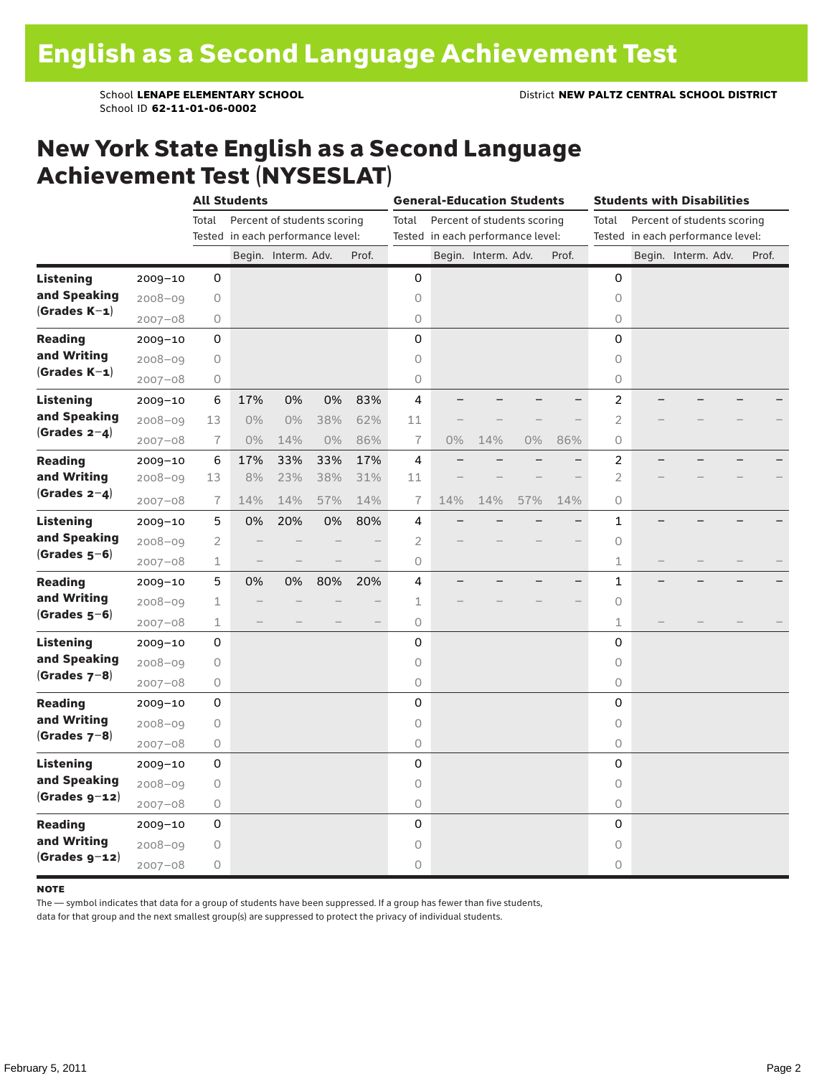School ID **62-11-01-06-0002**

### New York State English as a Second Language Achievement Test (NYSESLAT)

|                  |                                                                                                                                                                                                                                                                                                          | <b>All Students</b> |                          |       |       |       |                | <b>General-Education Students</b> | <b>Students with Disabilities</b> |       |       |                     |  |                                   |  |       |
|------------------|----------------------------------------------------------------------------------------------------------------------------------------------------------------------------------------------------------------------------------------------------------------------------------------------------------|---------------------|--------------------------|-------|-------|-------|----------------|-----------------------------------|-----------------------------------|-------|-------|---------------------|--|-----------------------------------|--|-------|
|                  |                                                                                                                                                                                                                                                                                                          | Total               |                          |       |       |       | Total          |                                   |                                   |       |       | Total               |  | Percent of students scoring       |  |       |
|                  |                                                                                                                                                                                                                                                                                                          |                     |                          |       |       |       |                |                                   |                                   |       |       |                     |  | Tested in each performance level: |  |       |
|                  |                                                                                                                                                                                                                                                                                                          |                     |                          |       |       | Prof. |                |                                   |                                   |       | Prof. |                     |  | Begin. Interm. Adv.               |  | Prof. |
| <b>Listening</b> | $2009 - 10$                                                                                                                                                                                                                                                                                              | 0                   |                          |       |       |       | 0              |                                   |                                   |       |       | 0                   |  |                                   |  |       |
| and Speaking     | $2008 - 09$                                                                                                                                                                                                                                                                                              | 0                   |                          |       |       |       | 0              |                                   |                                   |       |       | $\circ$             |  |                                   |  |       |
| $(Grades K-1)$   | $2007 - 08$                                                                                                                                                                                                                                                                                              | $\bigcirc$          |                          |       |       |       | 0              |                                   |                                   |       |       | $\circ$             |  |                                   |  |       |
| <b>Reading</b>   | $2009 - 10$                                                                                                                                                                                                                                                                                              | 0                   |                          |       |       |       | 0              |                                   |                                   |       |       | 0                   |  |                                   |  |       |
| and Writing      | $2008 - 09$                                                                                                                                                                                                                                                                                              | 0                   |                          |       |       |       | 0              |                                   |                                   |       |       | $\mathsf O$         |  |                                   |  |       |
| $(Grades K-1)$   | $2007 - 08$                                                                                                                                                                                                                                                                                              | 0                   |                          |       |       |       | 0              |                                   |                                   |       |       | $\circlearrowright$ |  |                                   |  |       |
| <b>Listening</b> | $2009 - 10$                                                                                                                                                                                                                                                                                              | 6                   | 17%                      | 0%    | 0%    | 83%   | 4              |                                   |                                   |       |       | 2                   |  |                                   |  |       |
| and Speaking     | $2008 - 09$                                                                                                                                                                                                                                                                                              | 13                  | $0\%$                    | $0\%$ | 38%   | 62%   | 11             |                                   |                                   |       |       | $\overline{2}$      |  |                                   |  |       |
| (Grades $2-4$ )  | $2007 - 08$                                                                                                                                                                                                                                                                                              | 7                   | $0\%$                    | 14%   | $0\%$ | 86%   | $\overline{1}$ | 0%                                | 14%                               | $0\%$ | 86%   | 0                   |  |                                   |  |       |
| <b>Reading</b>   | $2009 - 10$                                                                                                                                                                                                                                                                                              | 6                   | 17%                      | 33%   | 33%   | 17%   | 4              |                                   |                                   |       |       | 2                   |  |                                   |  |       |
| and Writing      | $2008 - 09$                                                                                                                                                                                                                                                                                              | 13                  | 8%                       | 23%   | 38%   | 31%   | 11             |                                   |                                   |       |       | $\overline{2}$      |  |                                   |  |       |
| (Grades $2-4$ )  | $2007 - 08$                                                                                                                                                                                                                                                                                              | 7                   | 14%                      | 14%   | 57%   | 14%   | 7              | 14%                               | 14%                               | 57%   | 14%   | 0                   |  |                                   |  |       |
| <b>Listening</b> | $2009 - 10$                                                                                                                                                                                                                                                                                              | 5                   | 0%                       | 20%   | 0%    | 80%   | 4              |                                   |                                   |       |       | 1                   |  |                                   |  |       |
| and Speaking     | $2008 - 09$                                                                                                                                                                                                                                                                                              | 2                   |                          |       |       |       | 2              |                                   |                                   |       |       | 0                   |  |                                   |  |       |
| $(Grades 5-6)$   | $2007 - 08$                                                                                                                                                                                                                                                                                              | 1                   | $\overline{\phantom{0}}$ |       |       |       | 0              |                                   |                                   |       |       | $\mathbf 1$         |  |                                   |  |       |
| <b>Reading</b>   | $2009 - 10$                                                                                                                                                                                                                                                                                              | 5                   | 0%                       | 0%    | 80%   | 20%   | 4              |                                   |                                   |       |       | 1                   |  |                                   |  |       |
| and Writing      | $2008 - 09$                                                                                                                                                                                                                                                                                              | 1                   |                          |       |       |       | 1              |                                   |                                   |       |       | $\circ$             |  |                                   |  |       |
| $(Grades 5-6)$   | $2007 - 08$                                                                                                                                                                                                                                                                                              | 1                   |                          |       |       |       | $\circ$        |                                   |                                   |       |       | 1                   |  |                                   |  |       |
| Listening        | $2009 - 10$                                                                                                                                                                                                                                                                                              | 0                   |                          |       |       |       | 0              |                                   |                                   |       |       | 0                   |  |                                   |  |       |
| and Speaking     | $2008 - 09$                                                                                                                                                                                                                                                                                              | 0                   |                          |       |       |       | 0              |                                   |                                   |       |       | 0                   |  |                                   |  |       |
| $(Grades 7-8)$   | $2007 - 08$                                                                                                                                                                                                                                                                                              | 0                   |                          |       |       |       | 0              |                                   |                                   |       |       | 0                   |  |                                   |  |       |
| <b>Reading</b>   | $2009 - 10$                                                                                                                                                                                                                                                                                              | 0                   |                          |       |       |       | 0              |                                   |                                   |       |       | 0                   |  |                                   |  |       |
| and Writing      | $2008 - 09$                                                                                                                                                                                                                                                                                              | $\mathsf O$         |                          |       |       |       | 0              |                                   |                                   |       |       | $\circ$             |  |                                   |  |       |
| $(Grades 7-8)$   | $2007 - 08$                                                                                                                                                                                                                                                                                              | 0                   |                          |       |       |       | 0              |                                   |                                   |       |       | 0                   |  |                                   |  |       |
| <b>Listening</b> | $2009 - 10$                                                                                                                                                                                                                                                                                              | 0                   |                          |       |       |       | 0              |                                   |                                   |       |       | 0                   |  |                                   |  |       |
| and Speaking     | $2008 - 09$                                                                                                                                                                                                                                                                                              | 0                   |                          |       |       |       | 0              |                                   |                                   |       |       | $\circ$             |  |                                   |  |       |
| $(Grades g-12)$  | Percent of students scoring<br>Percent of students scoring<br>Tested in each performance level:<br>Tested in each performance level:<br>Begin. Interm. Adv.<br>Begin. Interm. Adv.<br>0<br>$\bigcirc$<br>$2007 - 08$<br>0<br>0<br>$2009 - 10$<br>$2008 - 09$<br>0<br>0<br>$\bigcirc$<br>$2007 - 08$<br>0 | $\circ$             |                          |       |       |       |                |                                   |                                   |       |       |                     |  |                                   |  |       |
| <b>Reading</b>   |                                                                                                                                                                                                                                                                                                          |                     |                          |       |       |       |                |                                   |                                   |       |       | 0                   |  |                                   |  |       |
| and Writing      |                                                                                                                                                                                                                                                                                                          |                     |                          |       |       |       |                |                                   |                                   |       |       | 0                   |  |                                   |  |       |
| $(Grades g-12)$  |                                                                                                                                                                                                                                                                                                          |                     |                          |       |       |       |                |                                   |                                   |       |       | 0                   |  |                                   |  |       |

#### **NOTE**

The — symbol indicates that data for a group of students have been suppressed. If a group has fewer than five students,

data for that group and the next smallest group(s) are suppressed to protect the privacy of individual students.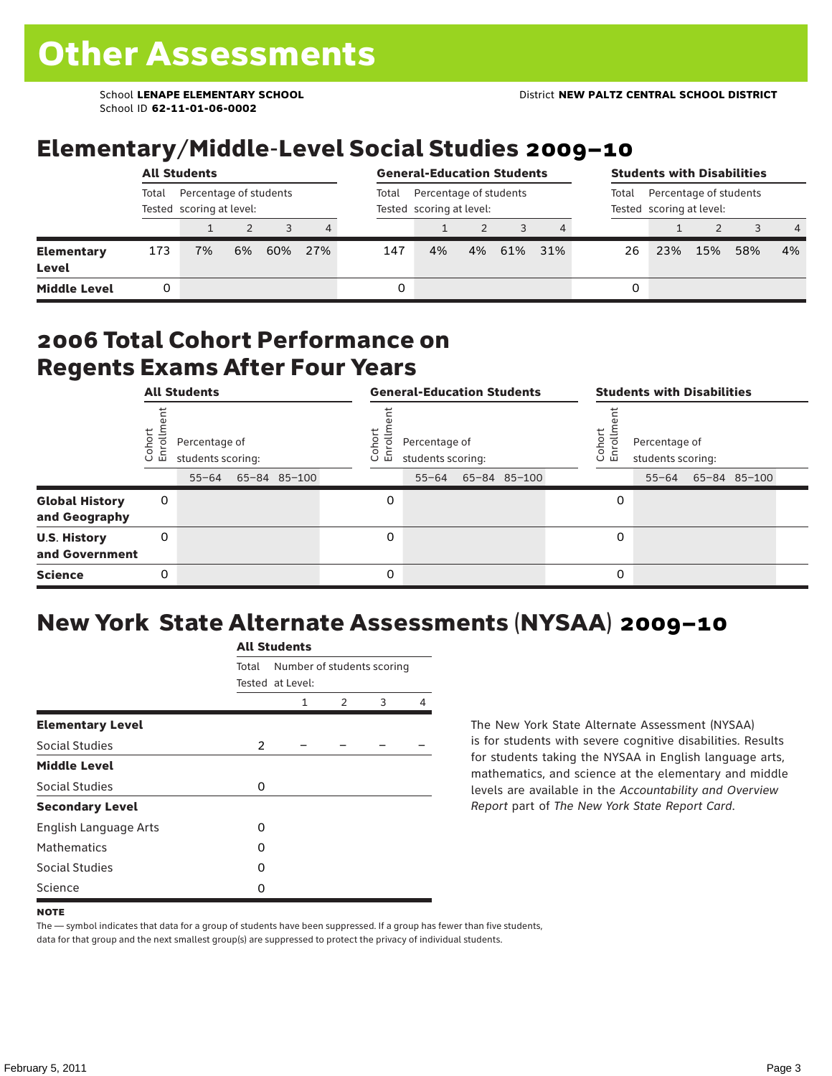School ID **62-11-01-06-0002**

## Elementary/Middle-Level Social Studies 2009–10

|                     | <b>All Students</b>                                         |    |    |     |                |       | <b>General-Education Students</b>                  |    |     |                                                             |    |     | <b>Students with Disabilities</b> |     |                |  |  |  |  |
|---------------------|-------------------------------------------------------------|----|----|-----|----------------|-------|----------------------------------------------------|----|-----|-------------------------------------------------------------|----|-----|-----------------------------------|-----|----------------|--|--|--|--|
|                     | Total<br>Percentage of students<br>Tested scoring at level: |    |    |     |                | Total | Percentage of students<br>Tested scoring at level: |    |     | Percentage of students<br>Total<br>Tested scoring at level: |    |     |                                   |     |                |  |  |  |  |
|                     |                                                             |    |    |     | $\overline{4}$ |       |                                                    |    |     |                                                             |    |     |                                   |     | $\overline{4}$ |  |  |  |  |
| Elementary<br>Level | 173                                                         | 7% | 6% | 60% | 27%            | 147   | 4%                                                 | 4% | 61% | 31%                                                         | 26 | 23% | 15%                               | 58% | $4\%$          |  |  |  |  |
| <b>Middle Level</b> |                                                             |    |    |     |                | 0     |                                                    |    |     |                                                             | 0  |     |                                   |     |                |  |  |  |  |

#### 2006 Total Cohort Performance on Regents Exams After Four Years

|                                        | <b>All Students</b> |                                    |  |              |  |                                                            | <b>General-Education Students</b> |  |                                                                               | <b>Students with Disabilities</b> |  |  |  |  |  |
|----------------------------------------|---------------------|------------------------------------|--|--------------|--|------------------------------------------------------------|-----------------------------------|--|-------------------------------------------------------------------------------|-----------------------------------|--|--|--|--|--|
|                                        | Cohor<br>Enroll     | Percentage of<br>students scoring: |  |              |  | Coho<br>Percentage of<br>$\circ$<br>ᇛ<br>students scoring: |                                   |  | Cohort<br>Percentage of<br>o,<br>문<br>students scoring:<br>55-64 65-84 85-100 |                                   |  |  |  |  |  |
|                                        |                     | $55 - 64$                          |  | 65-84 85-100 |  |                                                            | $55 - 64$                         |  | 65-84 85-100                                                                  |                                   |  |  |  |  |  |
| <b>Global History</b><br>and Geography | 0                   |                                    |  |              |  | 0                                                          |                                   |  |                                                                               | 0                                 |  |  |  |  |  |
| <b>U.S. History</b><br>and Government  | 0                   |                                    |  |              |  | $\Omega$                                                   |                                   |  |                                                                               | 0                                 |  |  |  |  |  |
| <b>Science</b>                         | 0                   |                                    |  |              |  | 0                                                          |                                   |  |                                                                               | 0                                 |  |  |  |  |  |

## New York State Alternate Assessments (NYSAA) 2009–10

|                         | <b>All Students</b> |                                                |               |   |   |  |  |  |  |  |  |
|-------------------------|---------------------|------------------------------------------------|---------------|---|---|--|--|--|--|--|--|
|                         | Total               | Number of students scoring<br>Tested at Level: |               |   |   |  |  |  |  |  |  |
|                         |                     | 1                                              | $\mathcal{P}$ | 3 | 4 |  |  |  |  |  |  |
| <b>Elementary Level</b> |                     |                                                |               |   |   |  |  |  |  |  |  |
| Social Studies          | $\overline{2}$      |                                                |               |   |   |  |  |  |  |  |  |
| <b>Middle Level</b>     |                     |                                                |               |   |   |  |  |  |  |  |  |
| Social Studies          | O                   |                                                |               |   |   |  |  |  |  |  |  |
| <b>Secondary Level</b>  |                     |                                                |               |   |   |  |  |  |  |  |  |
| English Language Arts   | O                   |                                                |               |   |   |  |  |  |  |  |  |
| <b>Mathematics</b>      | O                   |                                                |               |   |   |  |  |  |  |  |  |
| <b>Social Studies</b>   | O                   |                                                |               |   |   |  |  |  |  |  |  |
| Science                 | O                   |                                                |               |   |   |  |  |  |  |  |  |

The New York State Alternate Assessment (NYSAA) is for students with severe cognitive disabilities. Results for students taking the NYSAA in English language arts, mathematics, and science at the elementary and middle levels are available in the *Accountability and Overview Report* part of *The New York State Report Card*.

The — symbol indicates that data for a group of students have been suppressed. If a group has fewer than five students, data for that group and the next smallest group(s) are suppressed to protect the privacy of individual students.

**NOTE**